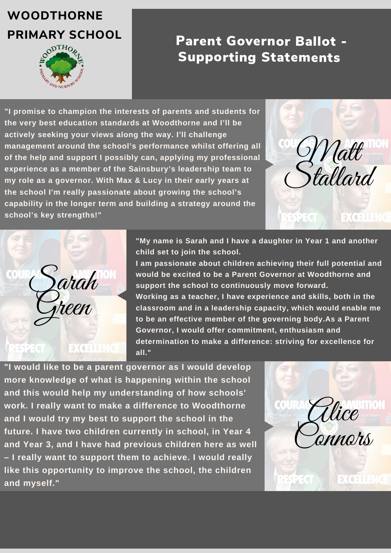#### Parent Governor Ballot - Supporting Statements

## **WOODTHORNE**

# **PRIMARY SCHOOL**



**"I promise to champion the interests of parents and students for the very best education standards at Woodthorne and I'll be actively seeking your views along the way. I'll challenge management around the school's performance whilst offering all of the help and support I possibly can, applying my professional experience as a member of the Sainsbury's leadership team to my role as a governor. With Max & Lucy in their early years at the school I'm really passionate about growing the school's capability in the longer term and building a strategy around the school's key strengths!"**

> **"My name is Sarah and I have a daughter in Year 1 and another child set to join the school.**

**I am passionate about children achieving their full potential and would be excited to be a Parent Governor at Woodthorne and support the school to continuously move forward.**

**Working as a teacher, I have experience and skills, both in the classroom and in a leadership capacity, which would enable me to be an effective member of the governing body.As a Parent Governor, I would offer commitment, enthusiasm and determination to make a difference: striving for excellence for all."**

**"I would like to be a parent governor as I would develop more knowledge of what is happening within the school and this would help my understanding of how schools' work. I really want to make a difference to Woodthorne and I would try my best to support the school in the future. I have two children currently in school, in Year 4 and Year 3, and I have had previous children here as well – I really want to support them to achieve. I would really like this opportunity to improve the school, the children and myself."**